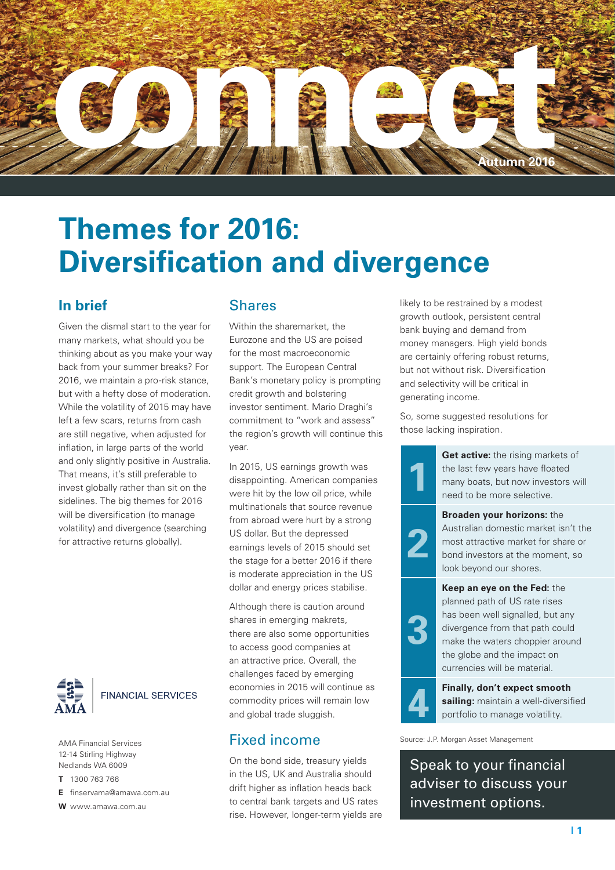

# **Themes for 2016: Diversification and divergence**

### **In brief**

Given the dismal start to the year for many markets, what should you be thinking about as you make your way back from your summer breaks? For 2016, we maintain a pro-risk stance, but with a hefty dose of moderation. While the volatility of 2015 may have left a few scars, returns from cash are still negative, when adjusted for inflation, in large parts of the world and only slightly positive in Australia. That means, it's still preferable to invest globally rather than sit on the sidelines. The big themes for 2016 will be diversification (to manage volatility) and divergence (searching for attractive returns globally).



12-14 Stirling Highway Nedlands WA 6009

**T** 1300 763 766

**E** finservama@amawa.com.au

**W** www.amawa.com.au

### Shares

Within the sharemarket, the Eurozone and the US are poised for the most macroeconomic support. The European Central Bank's monetary policy is prompting credit growth and bolstering investor sentiment. Mario Draghi's commitment to "work and assess" the region's growth will continue this year.

In 2015, US earnings growth was disappointing. American companies were hit by the low oil price, while multinationals that source revenue from abroad were hurt by a strong US dollar. But the depressed earnings levels of 2015 should set the stage for a better 2016 if there is moderate appreciation in the US dollar and energy prices stabilise.

Although there is caution around shares in emerging makrets, there are also some opportunities to access good companies at an attractive price. Overall, the challenges faced by emerging economies in 2015 will continue as commodity prices will remain low and global trade sluggish.

#### Fixed income AMA Financial Services **Eixed income** Source: J.P. Morgan Asset Management

On the bond side, treasury yields in the US, UK and Australia should drift higher as inflation heads back to central bank targets and US rates rise. However, longer-term yields are likely to be restrained by a modest growth outlook, persistent central bank buying and demand from money managers. High yield bonds are certainly offering robust returns, but not without risk. Diversification and selectivity will be critical in generating income.

So, some suggested resolutions for those lacking inspiration.



**Get active:** the rising markets of the last few years have floated many boats, but now investors will need to be more selective.



**Broaden your horizons:** the Australian domestic market isn't the most attractive market for share or bond investors at the moment, so look beyond our shores.

**Keep an eye on the Fed:** the planned path of US rate rises has been well signalled, but any divergence from that path could make the waters choppier around the globe and the impact on currencies will be material.



**3**

**4 Finally, don't expect smooth sailing:** maintain a well-diversif portfolio to manage volatility. **sailing:** maintain a well-diversified portfolio to manage volatility.

Speak to your financial adviser to discuss your investment options.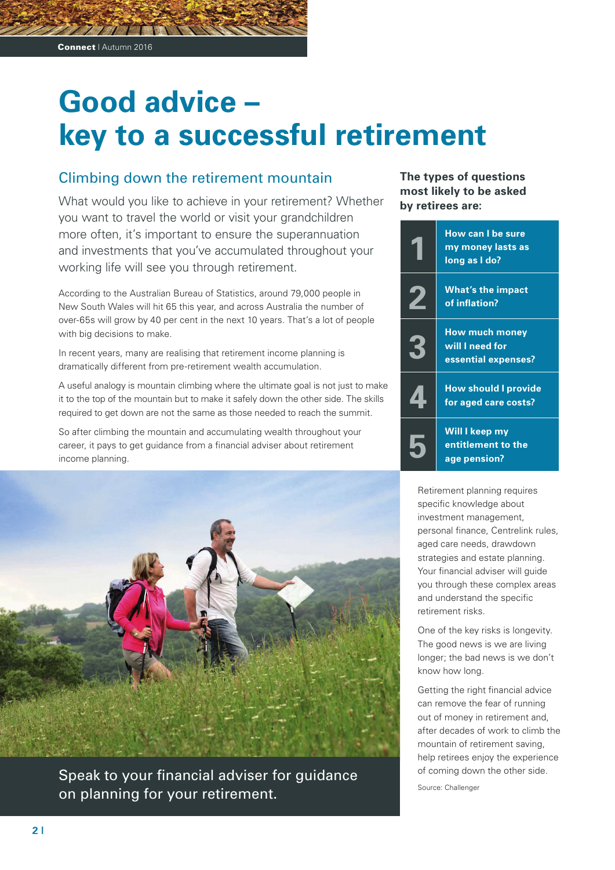# **Good advice – key to a successful retirement**

### Climbing down the retirement mountain

What would you like to achieve in your retirement? Whether you want to travel the world or visit your grandchildren more often, it's important to ensure the superannuation and investments that you've accumulated throughout your working life will see you through retirement.

According to the Australian Bureau of Statistics, around 79,000 people in New South Wales will hit 65 this year, and across Australia the number of over-65s will grow by 40 per cent in the next 10 years. That's a lot of people with big decisions to make.

In recent years, many are realising that retirement income planning is dramatically different from pre-retirement wealth accumulation.

A useful analogy is mountain climbing where the ultimate goal is not just to make it to the top of the mountain but to make it safely down the other side. The skills required to get down are not the same as those needed to reach the summit.

So after climbing the mountain and accumulating wealth throughout your career, it pays to get guidance from a financial adviser about retirement income planning.



Speak to your financial adviser for guidance on planning for your retirement.

**The types of questions most likely to be asked by retirees are:**

|                  | <b>How can I be sure</b><br>my money lasts as<br>long as I do?  |
|------------------|-----------------------------------------------------------------|
| $\boldsymbol{Z}$ | <b>What's the impact</b><br>of inflation?                       |
|                  | <b>How much money</b><br>will I need for<br>essential expenses? |
|                  | <b>How should I provide</b><br>for aged care costs?             |
|                  | Will I keep my<br>entitlement to the<br>age pension?            |

Retirement planning requires specific knowledge about investment management, personal finance, Centrelink rules, aged care needs, drawdown strategies and estate planning. Your financial adviser will guide you through these complex areas and understand the specific retirement risks.

One of the key risks is longevity. The good news is we are living longer; the bad news is we don't know how long.

Getting the right financial advice can remove the fear of running out of money in retirement and, after decades of work to climb the mountain of retirement saving, help retirees enjoy the experience of coming down the other side.

Source: Challenger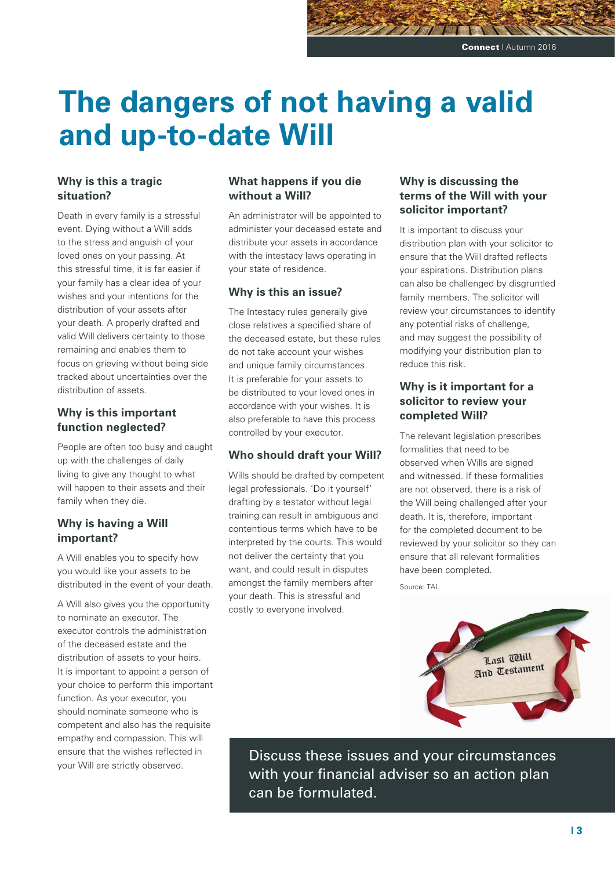# **The dangers of not having a valid and up-to-date Will**

#### **Why is this a tragic situation?**

Death in every family is a stressful event. Dying without a Will adds to the stress and anguish of your loved ones on your passing. At this stressful time, it is far easier if your family has a clear idea of your wishes and your intentions for the distribution of your assets after your death. A properly drafted and valid Will delivers certainty to those remaining and enables them to focus on grieving without being side tracked about uncertainties over the distribution of assets.

#### **Why is this important function neglected?**

People are often too busy and caught up with the challenges of daily living to give any thought to what will happen to their assets and their family when they die.

#### **Why is having a Will important?**

A Will enables you to specify how you would like your assets to be distributed in the event of your death.

A Will also gives you the opportunity to nominate an executor. The executor controls the administration of the deceased estate and the distribution of assets to your heirs. It is important to appoint a person of your choice to perform this important function. As your executor, you should nominate someone who is competent and also has the requisite empathy and compassion. This will ensure that the wishes reflected in your Will are strictly observed.

#### **What happens if you die without a Will?**

An administrator will be appointed to administer your deceased estate and distribute your assets in accordance with the intestacy laws operating in your state of residence.

#### **Why is this an issue?**

The Intestacy rules generally give close relatives a specified share of the deceased estate, but these rules do not take account your wishes and unique family circumstances. It is preferable for your assets to be distributed to your loved ones in accordance with your wishes. It is also preferable to have this process controlled by your executor.

#### **Who should draft your Will?**

Wills should be drafted by competent legal professionals. 'Do it yourself' drafting by a testator without legal training can result in ambiguous and contentious terms which have to be interpreted by the courts. This would not deliver the certainty that you want, and could result in disputes amongst the family members after your death. This is stressful and costly to everyone involved.

### **Why is discussing the terms of the Will with your solicitor important?**

It is important to discuss your distribution plan with your solicitor to ensure that the Will drafted reflects your aspirations. Distribution plans can also be challenged by disgruntled family members. The solicitor will review your circumstances to identify any potential risks of challenge, and may suggest the possibility of modifying your distribution plan to reduce this risk.

#### **Why is it important for a solicitor to review your completed Will?**

The relevant legislation prescribes formalities that need to be observed when Wills are signed and witnessed. If these formalities are not observed, there is a risk of the Will being challenged after your death. It is, therefore, important for the completed document to be reviewed by your solicitor so they can ensure that all relevant formalities have been completed.

Source: TAL



Discuss these issues and your circumstances with your financial adviser so an action plan can be formulated.